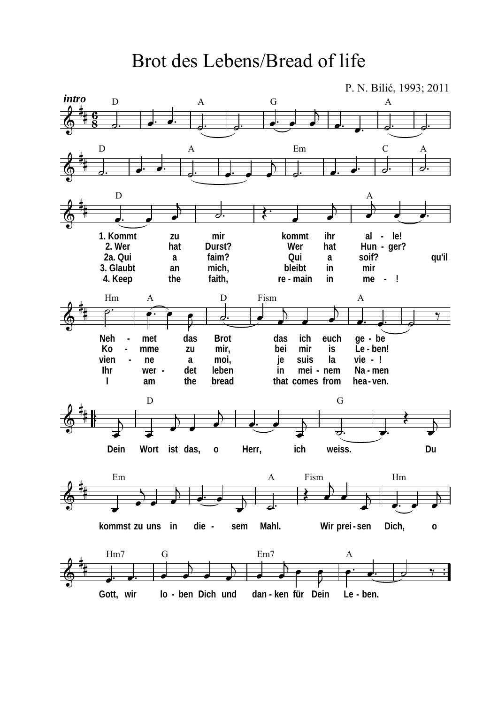Brot des Lebens/Bread of life

P. N. Bilić, 1993; 2011